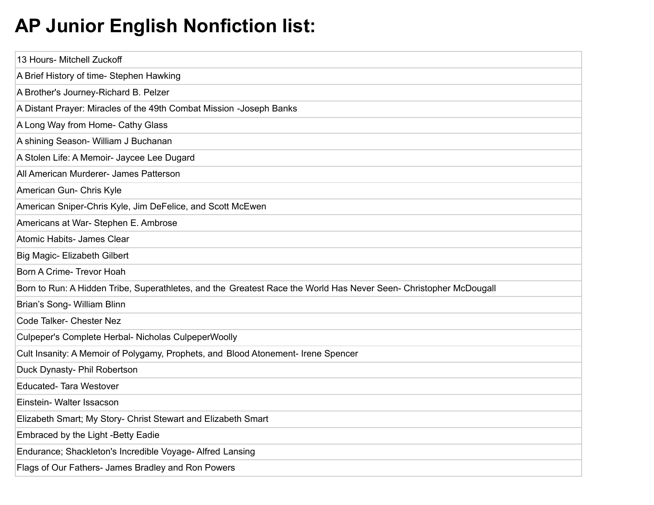## **AP Junior English Nonfiction list:**

| 13 Hours- Mitchell Zuckoff                                                                                        |
|-------------------------------------------------------------------------------------------------------------------|
| A Brief History of time- Stephen Hawking                                                                          |
| A Brother's Journey-Richard B. Pelzer                                                                             |
| A Distant Prayer: Miracles of the 49th Combat Mission -Joseph Banks                                               |
| A Long Way from Home- Cathy Glass                                                                                 |
| A shining Season- William J Buchanan                                                                              |
| A Stolen Life: A Memoir- Jaycee Lee Dugard                                                                        |
| All American Murderer- James Patterson                                                                            |
| American Gun- Chris Kyle                                                                                          |
| American Sniper-Chris Kyle, Jim DeFelice, and Scott McEwen                                                        |
| Americans at War- Stephen E. Ambrose                                                                              |
| Atomic Habits- James Clear                                                                                        |
| Big Magic- Elizabeth Gilbert                                                                                      |
| Born A Crime- Trevor Hoah                                                                                         |
| Born to Run: A Hidden Tribe, Superathletes, and the Greatest Race the World Has Never Seen- Christopher McDougall |
| Brian's Song- William Blinn                                                                                       |
| Code Talker- Chester Nez                                                                                          |
| Culpeper's Complete Herbal- Nicholas CulpeperWoolly                                                               |
| Cult Insanity: A Memoir of Polygamy, Prophets, and Blood Atonement- Irene Spencer                                 |
| Duck Dynasty- Phil Robertson                                                                                      |
| <b>Educated-Tara Westover</b>                                                                                     |
| Einstein- Walter Issacson                                                                                         |
| Elizabeth Smart; My Story- Christ Stewart and Elizabeth Smart                                                     |
| Embraced by the Light -Betty Eadie                                                                                |
| Endurance; Shackleton's Incredible Voyage- Alfred Lansing                                                         |
| Flags of Our Fathers- James Bradley and Ron Powers                                                                |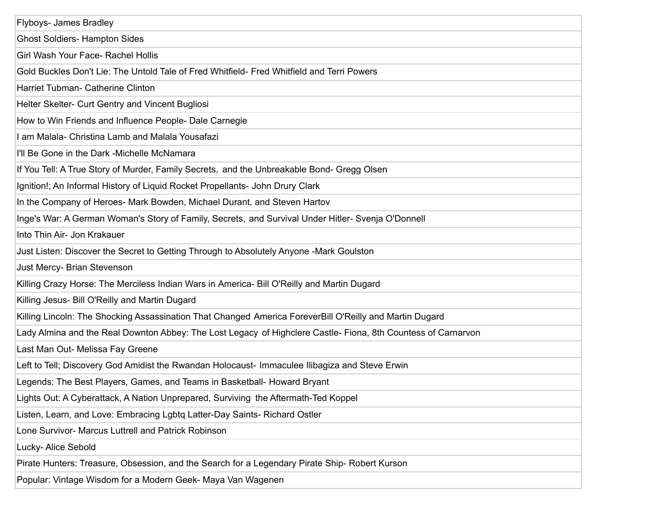| Flyboys- James Bradley                                                                                        |
|---------------------------------------------------------------------------------------------------------------|
| <b>Ghost Soldiers- Hampton Sides</b>                                                                          |
| Girl Wash Your Face- Rachel Hollis                                                                            |
| Gold Buckles Don't Lie: The Untold Tale of Fred Whitfield- Fred Whitfield and Terri Powers                    |
| Harriet Tubman- Catherine Clinton                                                                             |
| Helter Skelter- Curt Gentry and Vincent Bugliosi                                                              |
| How to Win Friends and Influence People- Dale Carnegie                                                        |
| I am Malala- Christina Lamb and Malala Yousafazi                                                              |
| I'll Be Gone in the Dark -Michelle McNamara                                                                   |
| If You Tell: A True Story of Murder, Family Secrets, and the Unbreakable Bond- Gregg Olsen                    |
| Ignition!; An Informal History of Liquid Rocket Propellants- John Drury Clark                                 |
| In the Company of Heroes- Mark Bowden, Michael Durant, and Steven Hartov                                      |
| Inge's War: A German Woman's Story of Family, Secrets, and Survival Under Hitler- Svenja O'Donnell            |
| Into Thin Air- Jon Krakauer                                                                                   |
| Just Listen: Discover the Secret to Getting Through to Absolutely Anyone -Mark Goulston                       |
| Just Mercy- Brian Stevenson                                                                                   |
| Killing Crazy Horse: The Merciless Indian Wars in America- Bill O'Reilly and Martin Dugard                    |
| Killing Jesus- Bill O'Reilly and Martin Dugard                                                                |
| Killing Lincoln: The Shocking Assassination That Changed America ForeverBill O'Reilly and Martin Dugard       |
| Lady Almina and the Real Downton Abbey: The Lost Legacy of Highclere Castle- Fiona, 8th Countess of Carnarvon |
| Last Man Out- Melissa Fay Greene                                                                              |
| Left to Tell; Discovery God Amidist the Rwandan Holocaust- Immaculee Ilibagiza and Steve Erwin                |
| Legends: The Best Players, Games, and Teams in Basketball- Howard Bryant                                      |
| Lights Out: A Cyberattack, A Nation Unprepared, Surviving the Aftermath-Ted Koppel                            |
| Listen, Learn, and Love: Embracing Lgbtq Latter-Day Saints- Richard Ostler                                    |
| Lone Survivor- Marcus Luttrell and Patrick Robinson                                                           |
| Lucky- Alice Sebold                                                                                           |
| Pirate Hunters: Treasure, Obsession, and the Search for a Legendary Pirate Ship- Robert Kurson                |
| Popular: Vintage Wisdom for a Modern Geek- Maya Van Wagenen                                                   |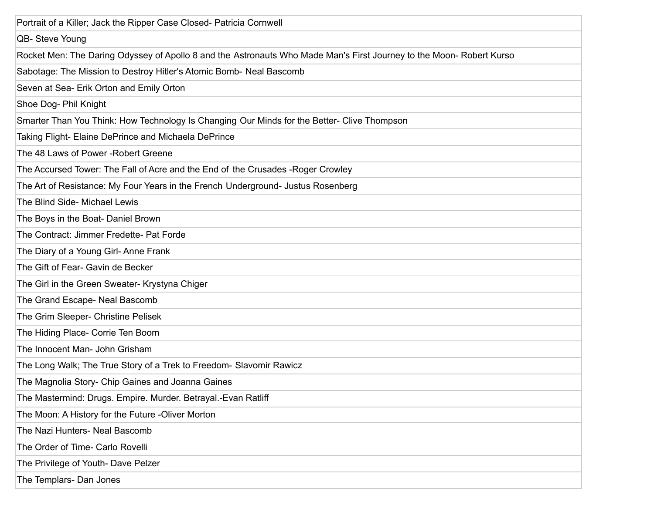| Portrait of a Killer; Jack the Ripper Case Closed- Patricia Cornwell                                                 |
|----------------------------------------------------------------------------------------------------------------------|
| QB- Steve Young                                                                                                      |
| Rocket Men: The Daring Odyssey of Apollo 8 and the Astronauts Who Made Man's First Journey to the Moon- Robert Kurso |
| Sabotage: The Mission to Destroy Hitler's Atomic Bomb- Neal Bascomb                                                  |
| Seven at Sea- Erik Orton and Emily Orton                                                                             |
| Shoe Dog- Phil Knight                                                                                                |
| Smarter Than You Think: How Technology Is Changing Our Minds for the Better- Clive Thompson                          |
| Taking Flight- Elaine DePrince and Michaela DePrince                                                                 |
| The 48 Laws of Power - Robert Greene                                                                                 |
| The Accursed Tower: The Fall of Acre and the End of the Crusades - Roger Crowley                                     |
| The Art of Resistance: My Four Years in the French Underground- Justus Rosenberg                                     |
| The Blind Side- Michael Lewis                                                                                        |
| The Boys in the Boat- Daniel Brown                                                                                   |
| The Contract: Jimmer Fredette- Pat Forde                                                                             |
| The Diary of a Young Girl-Anne Frank                                                                                 |
| The Gift of Fear- Gavin de Becker                                                                                    |
| The Girl in the Green Sweater- Krystyna Chiger                                                                       |
| The Grand Escape- Neal Bascomb                                                                                       |
| The Grim Sleeper- Christine Pelisek                                                                                  |
| The Hiding Place- Corrie Ten Boom                                                                                    |
| The Innocent Man- John Grisham                                                                                       |
| The Long Walk; The True Story of a Trek to Freedom- Slavomir Rawicz                                                  |
| The Magnolia Story- Chip Gaines and Joanna Gaines                                                                    |
| The Mastermind: Drugs. Empire. Murder. Betrayal.-Evan Ratliff                                                        |
| The Moon: A History for the Future -Oliver Morton                                                                    |
| The Nazi Hunters- Neal Bascomb                                                                                       |
| The Order of Time- Carlo Rovelli                                                                                     |
| The Privilege of Youth- Dave Pelzer                                                                                  |
| The Templars- Dan Jones                                                                                              |